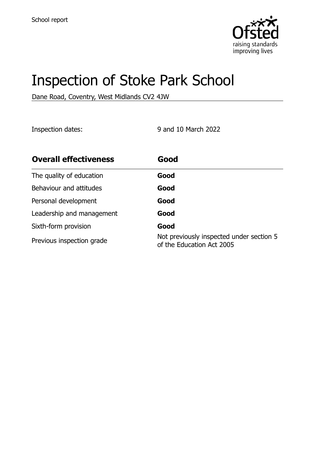

# Inspection of Stoke Park School

Dane Road, Coventry, West Midlands CV2 4JW

Inspection dates: 9 and 10 March 2022

| <b>Overall effectiveness</b> | Good                                                                  |
|------------------------------|-----------------------------------------------------------------------|
| The quality of education     | Good                                                                  |
| Behaviour and attitudes      | Good                                                                  |
| Personal development         | Good                                                                  |
| Leadership and management    | Good                                                                  |
| Sixth-form provision         | Good                                                                  |
| Previous inspection grade    | Not previously inspected under section 5<br>of the Education Act 2005 |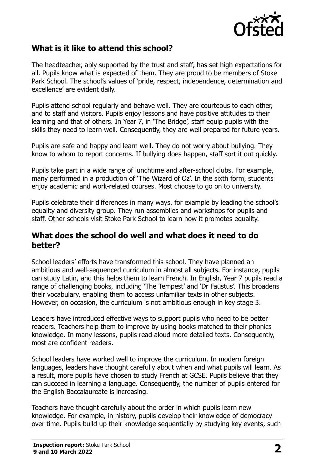

## **What is it like to attend this school?**

The headteacher, ably supported by the trust and staff, has set high expectations for all. Pupils know what is expected of them. They are proud to be members of Stoke Park School. The school's values of 'pride, respect, independence, determination and excellence' are evident daily.

Pupils attend school regularly and behave well. They are courteous to each other, and to staff and visitors. Pupils enjoy lessons and have positive attitudes to their learning and that of others. In Year 7, in 'The Bridge', staff equip pupils with the skills they need to learn well. Consequently, they are well prepared for future years.

Pupils are safe and happy and learn well. They do not worry about bullying. They know to whom to report concerns. If bullying does happen, staff sort it out quickly.

Pupils take part in a wide range of lunchtime and after-school clubs. For example, many performed in a production of 'The Wizard of Oz'. In the sixth form, students enjoy academic and work-related courses. Most choose to go on to university.

Pupils celebrate their differences in many ways, for example by leading the school's equality and diversity group. They run assemblies and workshops for pupils and staff. Other schools visit Stoke Park School to learn how it promotes equality.

#### **What does the school do well and what does it need to do better?**

School leaders' efforts have transformed this school. They have planned an ambitious and well-sequenced curriculum in almost all subjects. For instance, pupils can study Latin, and this helps them to learn French. In English, Year 7 pupils read a range of challenging books, including 'The Tempest' and 'Dr Faustus'. This broadens their vocabulary, enabling them to access unfamiliar texts in other subjects. However, on occasion, the curriculum is not ambitious enough in key stage 3.

Leaders have introduced effective ways to support pupils who need to be better readers. Teachers help them to improve by using books matched to their phonics knowledge. In many lessons, pupils read aloud more detailed texts. Consequently, most are confident readers.

School leaders have worked well to improve the curriculum. In modern foreign languages, leaders have thought carefully about when and what pupils will learn. As a result, more pupils have chosen to study French at GCSE. Pupils believe that they can succeed in learning a language. Consequently, the number of pupils entered for the English Baccalaureate is increasing.

Teachers have thought carefully about the order in which pupils learn new knowledge. For example, in history, pupils develop their knowledge of democracy over time. Pupils build up their knowledge sequentially by studying key events, such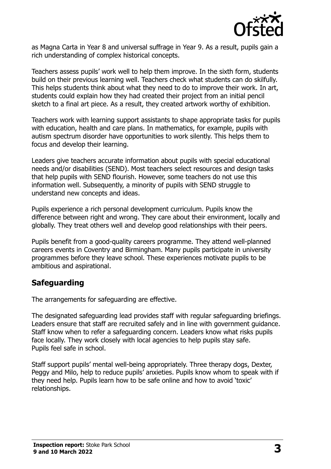

as Magna Carta in Year 8 and universal suffrage in Year 9. As a result, pupils gain a rich understanding of complex historical concepts.

Teachers assess pupils' work well to help them improve. In the sixth form, students build on their previous learning well. Teachers check what students can do skilfully. This helps students think about what they need to do to improve their work. In art, students could explain how they had created their project from an initial pencil sketch to a final art piece. As a result, they created artwork worthy of exhibition.

Teachers work with learning support assistants to shape appropriate tasks for pupils with education, health and care plans. In mathematics, for example, pupils with autism spectrum disorder have opportunities to work silently. This helps them to focus and develop their learning.

Leaders give teachers accurate information about pupils with special educational needs and/or disabilities (SEND). Most teachers select resources and design tasks that help pupils with SEND flourish. However, some teachers do not use this information well. Subsequently, a minority of pupils with SEND struggle to understand new concepts and ideas.

Pupils experience a rich personal development curriculum. Pupils know the difference between right and wrong. They care about their environment, locally and globally. They treat others well and develop good relationships with their peers.

Pupils benefit from a good-quality careers programme. They attend well-planned careers events in Coventry and Birmingham. Many pupils participate in university programmes before they leave school. These experiences motivate pupils to be ambitious and aspirational.

### **Safeguarding**

The arrangements for safeguarding are effective.

The designated safeguarding lead provides staff with regular safeguarding briefings. Leaders ensure that staff are recruited safely and in line with government guidance. Staff know when to refer a safeguarding concern. Leaders know what risks pupils face locally. They work closely with local agencies to help pupils stay safe. Pupils feel safe in school.

Staff support pupils' mental well-being appropriately. Three therapy dogs, Dexter, Peggy and Milo, help to reduce pupils' anxieties. Pupils know whom to speak with if they need help. Pupils learn how to be safe online and how to avoid 'toxic' relationships.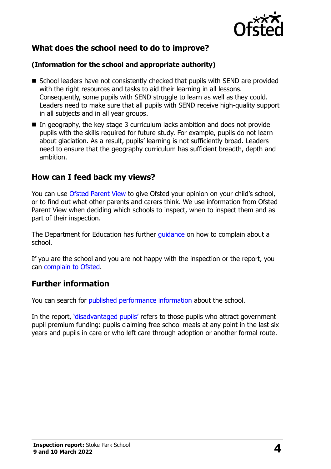

# **What does the school need to do to improve?**

#### **(Information for the school and appropriate authority)**

- School leaders have not consistently checked that pupils with SEND are provided with the right resources and tasks to aid their learning in all lessons. Consequently, some pupils with SEND struggle to learn as well as they could. Leaders need to make sure that all pupils with SEND receive high-quality support in all subjects and in all year groups.
- $\blacksquare$  In geography, the key stage 3 curriculum lacks ambition and does not provide pupils with the skills required for future study. For example, pupils do not learn about glaciation. As a result, pupils' learning is not sufficiently broad. Leaders need to ensure that the geography curriculum has sufficient breadth, depth and ambition.

### **How can I feed back my views?**

You can use [Ofsted Parent View](http://parentview.ofsted.gov.uk/) to give Ofsted your opinion on your child's school, or to find out what other parents and carers think. We use information from Ofsted Parent View when deciding which schools to inspect, when to inspect them and as part of their inspection.

The Department for Education has further quidance on how to complain about a school.

If you are the school and you are not happy with the inspection or the report, you can [complain to Ofsted.](http://www.gov.uk/complain-ofsted-report)

### **Further information**

You can search for [published performance information](http://www.compare-school-performance.service.gov.uk/) about the school.

In the report, '[disadvantaged pupils](http://www.gov.uk/guidance/pupil-premium-information-for-schools-and-alternative-provision-settings)' refers to those pupils who attract government pupil premium funding: pupils claiming free school meals at any point in the last six years and pupils in care or who left care through adoption or another formal route.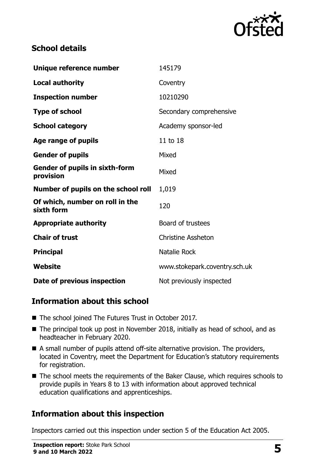

# **School details**

| Unique reference number                            | 145179                        |
|----------------------------------------------------|-------------------------------|
| <b>Local authority</b>                             | Coventry                      |
| <b>Inspection number</b>                           | 10210290                      |
| <b>Type of school</b>                              | Secondary comprehensive       |
| <b>School category</b>                             | Academy sponsor-led           |
| Age range of pupils                                | 11 to 18                      |
| <b>Gender of pupils</b>                            | Mixed                         |
| <b>Gender of pupils in sixth-form</b><br>provision | Mixed                         |
| Number of pupils on the school roll                | 1,019                         |
| Of which, number on roll in the<br>sixth form      | 120                           |
| <b>Appropriate authority</b>                       | Board of trustees             |
| <b>Chair of trust</b>                              | <b>Christine Assheton</b>     |
| <b>Principal</b>                                   | Natalie Rock                  |
| Website                                            | www.stokepark.coventry.sch.uk |
| Date of previous inspection                        | Not previously inspected      |

# **Information about this school**

- The school joined The Futures Trust in October 2017.
- The principal took up post in November 2018, initially as head of school, and as headteacher in February 2020.
- A small number of pupils attend off-site alternative provision. The providers, located in Coventry, meet the Department for Education's statutory requirements for registration.
- The school meets the requirements of the Baker Clause, which requires schools to provide pupils in Years 8 to 13 with information about approved technical education qualifications and apprenticeships.

# **Information about this inspection**

Inspectors carried out this inspection under section 5 of the Education Act 2005.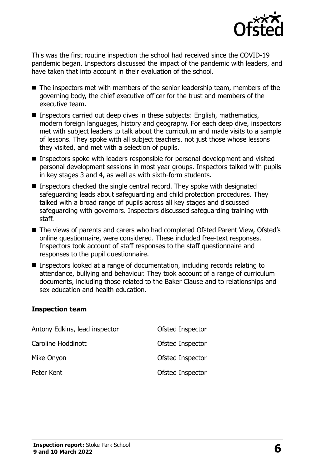

This was the first routine inspection the school had received since the COVID-19 pandemic began. Inspectors discussed the impact of the pandemic with leaders, and have taken that into account in their evaluation of the school.

- The inspectors met with members of the senior leadership team, members of the governing body, the chief executive officer for the trust and members of the executive team.
- Inspectors carried out deep dives in these subjects: English, mathematics, modern foreign languages, history and geography. For each deep dive, inspectors met with subject leaders to talk about the curriculum and made visits to a sample of lessons. They spoke with all subject teachers, not just those whose lessons they visited, and met with a selection of pupils.
- Inspectors spoke with leaders responsible for personal development and visited personal development sessions in most year groups. Inspectors talked with pupils in key stages 3 and 4, as well as with sixth-form students.
- Inspectors checked the single central record. They spoke with designated safeguarding leads about safeguarding and child protection procedures. They talked with a broad range of pupils across all key stages and discussed safeguarding with governors. Inspectors discussed safeguarding training with staff.
- The views of parents and carers who had completed Ofsted Parent View, Ofsted's online questionnaire, were considered. These included free-text responses. Inspectors took account of staff responses to the staff questionnaire and responses to the pupil questionnaire.
- Inspectors looked at a range of documentation, including records relating to attendance, bullying and behaviour. They took account of a range of curriculum documents, including those related to the Baker Clause and to relationships and sex education and health education.

#### **Inspection team**

| Antony Edkins, lead inspector | Ofsted Inspector        |
|-------------------------------|-------------------------|
| Caroline Hoddinott            | Ofsted Inspector        |
| Mike Onyon                    | <b>Ofsted Inspector</b> |
| Peter Kent                    | Ofsted Inspector        |